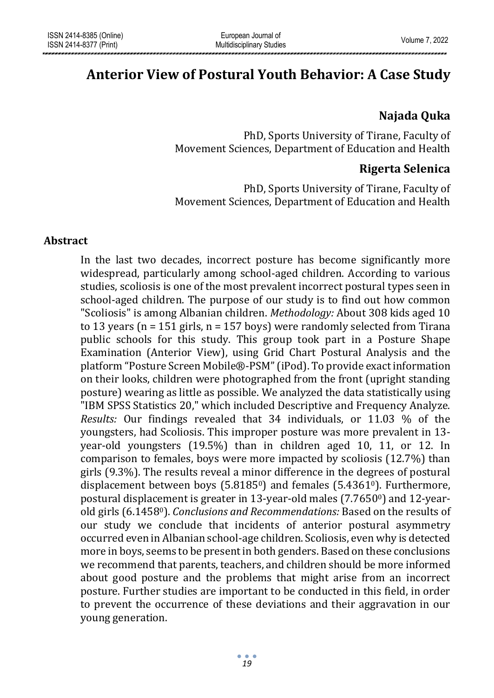# **Anterior View of Postural Youth Behavior: A Case Study**

# **Najada Quka**

PhD, Sports University of Tirane, Faculty of Movement Sciences, Department of Education and Health

# **Rigerta Selenica**

PhD, Sports University of Tirane, Faculty of Movement Sciences, Department of Education and Health

#### **Abstract**

In the last two decades, incorrect posture has become significantly more widespread, particularly among school-aged children. According to various studies, scoliosis is one of the most prevalent incorrect postural types seen in school-aged children. The purpose of our study is to find out how common "Scoliosis" is among Albanian children. *Methodology:* About 308 kids aged 10 to 13 years ( $n = 151$  girls,  $n = 157$  boys) were randomly selected from Tirana public schools for this study. This group took part in a Posture Shape Examination (Anterior View), using Grid Chart Postural Analysis and the platform "Posture Screen Mobile®-PSM" (iPod). To provide exact information on their looks, children were photographed from the front (upright standing posture) wearing as little as possible. We analyzed the data statistically using "IBM SPSS Statistics 20," which included Descriptive and Frequency Analyze. *Results:* Our findings revealed that 34 individuals, or 11.03 % of the youngsters, had Scoliosis. This improper posture was more prevalent in 13 year-old youngsters (19.5%) than in children aged 10, 11, or 12. In comparison to females, boys were more impacted by scoliosis (12.7%) than girls (9.3%). The results reveal a minor difference in the degrees of postural displacement between boys (5.81850) and females (5.43610). Furthermore, postural displacement is greater in 13-year-old males (7.76500) and 12-yearold girls (6.14580). *Conclusions and Recommendations:* Based on the results of our study we conclude that incidents of anterior postural asymmetry occurred even in Albanian school-age children. Scoliosis, even why is detected more in boys, seems to be present in both genders. Based on these conclusions we recommend that parents, teachers, and children should be more informed about good posture and the problems that might arise from an incorrect posture. Further studies are important to be conducted in this field, in order to prevent the occurrence of these deviations and their aggravation in our young generation.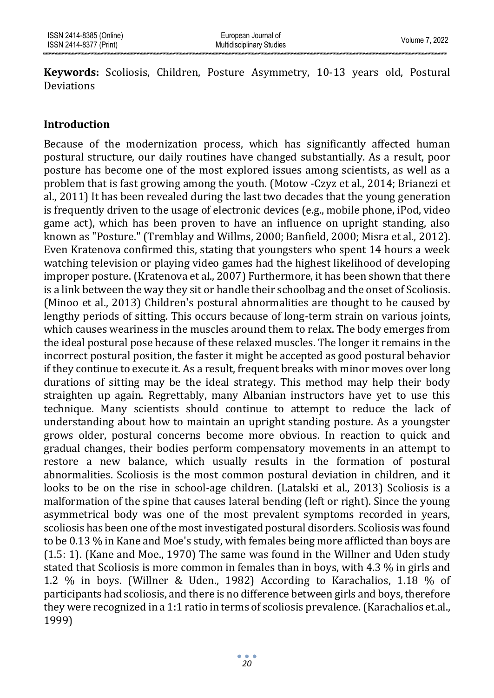**Keywords:** Scoliosis, Children, Posture Asymmetry, 10-13 years old, Postural Deviations

#### **Introduction**

Because of the modernization process, which has significantly affected human postural structure, our daily routines have changed substantially. As a result, poor posture has become one of the most explored issues among scientists, as well as a problem that is fast growing among the youth. (Motow -Czyz et al., 2014; Brianezi et al., 2011) It has been revealed during the last two decades that the young generation is frequently driven to the usage of electronic devices (e.g., mobile phone, iPod, video game act), which has been proven to have an influence on upright standing, also known as "Posture." (Tremblay and Willms, 2000; Banfield, 2000; Misra et al., 2012). Even Kratenova confirmed this, stating that youngsters who spent 14 hours a week watching television or playing video games had the highest likelihood of developing improper posture. (Kratenova et al., 2007) Furthermore, it has been shown that there is a link between the way they sit or handle their schoolbag and the onset of Scoliosis. (Minoo et al., 2013) Children's postural abnormalities are thought to be caused by lengthy periods of sitting. This occurs because of long-term strain on various joints, which causes weariness in the muscles around them to relax. The body emerges from the ideal postural pose because of these relaxed muscles. The longer it remains in the incorrect postural position, the faster it might be accepted as good postural behavior if they continue to execute it. As a result, frequent breaks with minor moves over long durations of sitting may be the ideal strategy. This method may help their body straighten up again. Regrettably, many Albanian instructors have yet to use this technique. Many scientists should continue to attempt to reduce the lack of understanding about how to maintain an upright standing posture. As a youngster grows older, postural concerns become more obvious. In reaction to quick and gradual changes, their bodies perform compensatory movements in an attempt to restore a new balance, which usually results in the formation of postural abnormalities. Scoliosis is the most common postural deviation in children, and it looks to be on the rise in school-age children. (Latalski et al., 2013) Scoliosis is a malformation of the spine that causes lateral bending (left or right). Since the young asymmetrical body was one of the most prevalent symptoms recorded in years, scoliosis has been one of the most investigated postural disorders. Scoliosis was found to be 0.13 % in Kane and Moe's study, with females being more afflicted than boys are (1.5: 1). (Kane and Moe., 1970) The same was found in the Willner and Uden study stated that Scoliosis is more common in females than in boys, with 4.3 % in girls and 1.2 % in boys. (Willner & Uden., 1982) According to Karachalios, 1.18 % of participants had scoliosis, and there is no difference between girls and boys, therefore they were recognized in a 1:1 ratio in terms of scoliosis prevalence. (Karachalios et.al., 1999)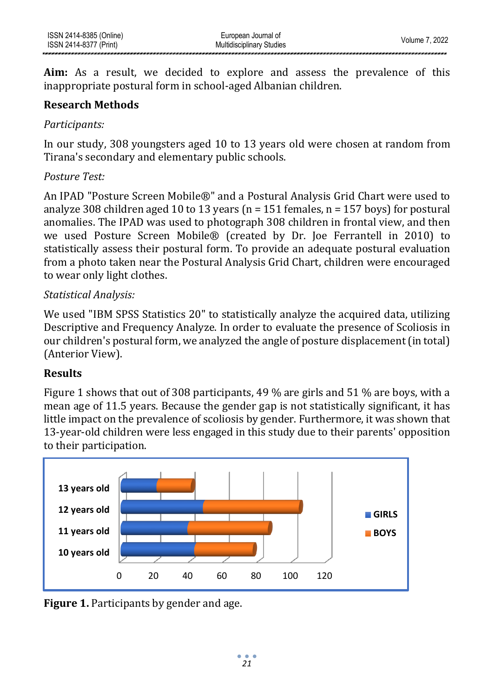**Aim:** As a result, we decided to explore and assess the prevalence of this inappropriate postural form in school-aged Albanian children.

#### **Research Methods**

#### *Participants:*

In our study, 308 youngsters aged 10 to 13 years old were chosen at random from Tirana's secondary and elementary public schools.

#### *Posture Test:*

An IPAD "Posture Screen Mobile®" and a Postural Analysis Grid Chart were used to analyze 308 children aged 10 to 13 years ( $n = 151$  females,  $n = 157$  boys) for postural anomalies. The IPAD was used to photograph 308 children in frontal view, and then we used Posture Screen Mobile® (created by Dr. Joe Ferrantell in 2010) to statistically assess their postural form. To provide an adequate postural evaluation from a photo taken near the Postural Analysis Grid Chart, children were encouraged to wear only light clothes.

# *Statistical Analysis:*

We used "IBM SPSS Statistics 20" to statistically analyze the acquired data, utilizing Descriptive and Frequency Analyze. In order to evaluate the presence of Scoliosis in our children's postural form, we analyzed the angle of posture displacement (in total) (Anterior View).

# **Results**

Figure 1 shows that out of 308 participants, 49 % are girls and 51 % are boys, with a mean age of 11.5 years. Because the gender gap is not statistically significant, it has little impact on the prevalence of scoliosis by gender. Furthermore, it was shown that 13-year-old children were less engaged in this study due to their parents' opposition to their participation.



**Figure 1.** Participants by gender and age.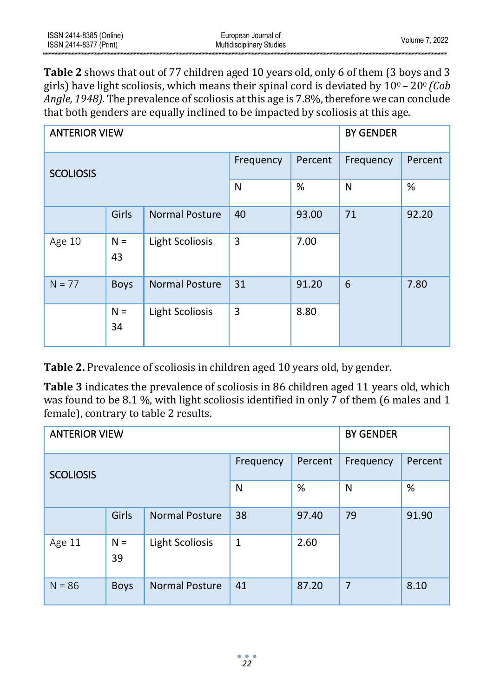**Table 2** shows that out of 77 children aged 10 years old, only 6 of them (3 boys and 3 girls) have light scoliosis, which means their spinal cord is deviated by 100 – 200 *(Cob Angle, 1948).* The prevalence of scoliosis at this age is 7.8%, therefore we can conclude that both genders are equally inclined to be impacted by scoliosis at this age.

| <b>ANTERIOR VIEW</b> | <b>BY GENDER</b>                      |                        |           |         |           |         |
|----------------------|---------------------------------------|------------------------|-----------|---------|-----------|---------|
| <b>SCOLIOSIS</b>     |                                       |                        | Frequency | Percent | Frequency | Percent |
|                      |                                       |                        | N         | $\%$    | N         | %       |
|                      | Girls<br><b>Normal Posture</b>        |                        | 40        | 93.00   | 71        | 92.20   |
| Age 10               | $N =$<br><b>Light Scoliosis</b><br>43 |                        | 3         | 7.00    |           |         |
| $N = 77$             | <b>Normal Posture</b><br><b>Boys</b>  |                        | 31        | 91.20   | 6         | 7.80    |
|                      | $N =$<br>34                           | <b>Light Scoliosis</b> | 3         | 8.80    |           |         |

**Table 2.** Prevalence of scoliosis in children aged 10 years old, by gender.

**Table 3** indicates the prevalence of scoliosis in 86 children aged 11 years old, which was found to be 8.1 %, with light scoliosis identified in only 7 of them (6 males and 1 female), contrary to table 2 results.

| <b>ANTERIOR VIEW</b> | <b>BY GENDER</b> |                        |              |         |                |         |
|----------------------|------------------|------------------------|--------------|---------|----------------|---------|
| <b>SCOLIOSIS</b>     |                  |                        | Frequency    | Percent | Frequency      | Percent |
|                      |                  |                        | N            | %       | N              | $\%$    |
|                      | Girls            | <b>Normal Posture</b>  | 38           | 97.40   | 79             | 91.90   |
| Age 11               | $N =$<br>39      | <b>Light Scoliosis</b> | $\mathbf{1}$ | 2.60    |                |         |
| $N = 86$             | <b>Boys</b>      | <b>Normal Posture</b>  | 41           | 87.20   | $\overline{7}$ | 8.10    |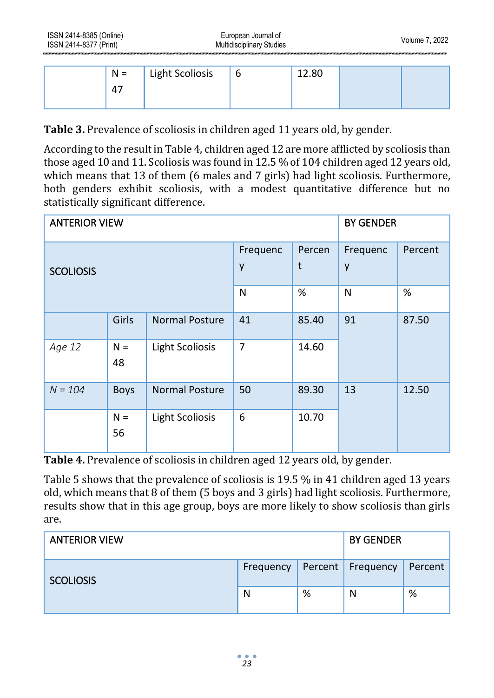| $N =$ | Light Scoliosis | 6 | 12.80 |  |
|-------|-----------------|---|-------|--|
| 4     |                 |   |       |  |
|       |                 |   |       |  |

**Table 3.** Prevalence of scoliosis in children aged 11 years old, by gender.

According to the result in Table 4, children aged 12 are more afflicted by scoliosis than those aged 10 and 11. Scoliosis was found in 12.5 % of 104 children aged 12 years old, which means that 13 of them (6 males and 7 girls) had light scoliosis. Furthermore, both genders exhibit scoliosis, with a modest quantitative difference but no statistically significant difference.

| <b>ANTERIOR VIEW</b> | <b>BY GENDER</b> |                        |                |             |               |         |
|----------------------|------------------|------------------------|----------------|-------------|---------------|---------|
| <b>SCOLIOSIS</b>     |                  |                        | Frequenc<br>y  | Percen<br>t | Frequenc<br>y | Percent |
|                      |                  |                        | N              | %           | N             | $\%$    |
|                      | Girls            | <b>Normal Posture</b>  | 41             | 85.40       | 91            | 87.50   |
| Age 12               | $N =$<br>48      | <b>Light Scoliosis</b> | $\overline{7}$ | 14.60       |               |         |
| $N = 104$            | <b>Boys</b>      | <b>Normal Posture</b>  | 50             | 89.30       | 13            | 12.50   |
|                      | $N =$<br>56      | <b>Light Scoliosis</b> | 6              | 10.70       |               |         |

**Table 4.** Prevalence of scoliosis in children aged 12 years old, by gender.

Table 5 shows that the prevalence of scoliosis is 19.5 % in 41 children aged 13 years old, which means that 8 of them (5 boys and 3 girls) had light scoliosis. Furthermore, results show that in this age group, boys are more likely to show scoliosis than girls are.

| <b>ANTERIOR VIEW</b> | <b>BY GENDER</b> |   |                   |         |
|----------------------|------------------|---|-------------------|---------|
| <b>SCOLIOSIS</b>     | Frequency        |   | Percent Frequency | Percent |
|                      | N                | % | N                 | %       |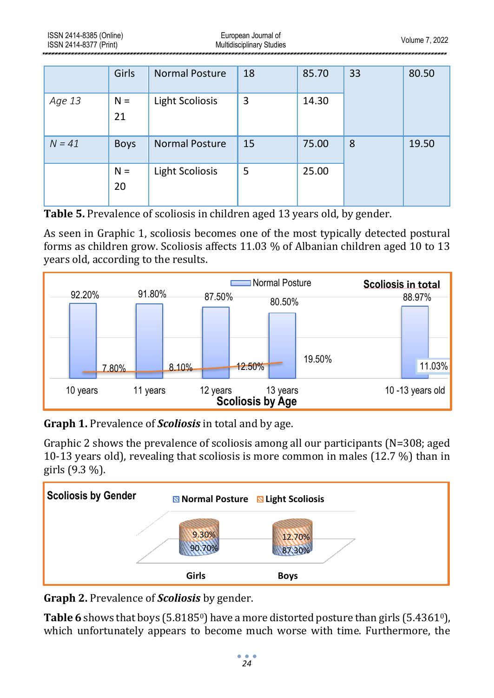|          | Girls       | <b>Normal Posture</b>  | 18 | 85.70 | 33 | 80.50 |
|----------|-------------|------------------------|----|-------|----|-------|
| Age 13   | $N =$<br>21 | <b>Light Scoliosis</b> | 3  | 14.30 |    |       |
| $N = 41$ | <b>Boys</b> | <b>Normal Posture</b>  | 15 | 75.00 | 8  | 19.50 |
|          | $N =$<br>20 | <b>Light Scoliosis</b> | 5  | 25.00 |    |       |

**Table 5.** Prevalence of scoliosis in children aged 13 years old, by gender.

As seen in Graphic 1, scoliosis becomes one of the most typically detected postural forms as children grow. Scoliosis affects 11.03 % of Albanian children aged 10 to 13 years old, according to the results.



**Graph 1.** Prevalence of *Scoliosis* in total and by age.

Graphic 2 shows the prevalence of scoliosis among all our participants (N=308; aged 10-13 years old), revealing that scoliosis is more common in males (12.7 %) than in girls (9.3 %).



**Graph 2.** Prevalence of *Scoliosis* by gender.

**Table 6** shows that boys (5.8185<sup>0</sup>) have a more distorted posture than girls (5.4361<sup>0</sup>), which unfortunately appears to become much worse with time. Furthermore, the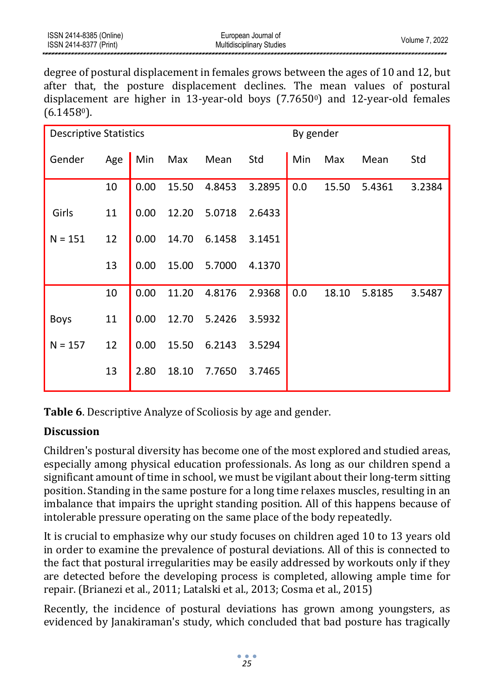degree of postural displacement in females grows between the ages of 10 and 12, but after that, the posture displacement declines. The mean values of postural displacement are higher in 13-year-old boys  $(7.7650)$  and 12-year-old females  $(6.1458)$ .

| <b>Descriptive Statistics</b> |     |      |       |        |        | By gender |       |        |        |
|-------------------------------|-----|------|-------|--------|--------|-----------|-------|--------|--------|
| Gender                        | Age | Min  | Max   | Mean   | Std    | Min       | Max   | Mean   | Std    |
|                               | 10  | 0.00 | 15.50 | 4.8453 | 3.2895 | 0.0       | 15.50 | 5.4361 | 3.2384 |
| Girls                         | 11  | 0.00 | 12.20 | 5.0718 | 2.6433 |           |       |        |        |
| $N = 151$                     | 12  | 0.00 | 14.70 | 6.1458 | 3.1451 |           |       |        |        |
|                               | 13  | 0.00 | 15.00 | 5.7000 | 4.1370 |           |       |        |        |
|                               | 10  | 0.00 | 11.20 | 4.8176 | 2.9368 | 0.0       | 18.10 | 5.8185 | 3.5487 |
| <b>Boys</b>                   | 11  | 0.00 | 12.70 | 5.2426 | 3.5932 |           |       |        |        |
| $N = 157$                     | 12  | 0.00 | 15.50 | 6.2143 | 3.5294 |           |       |        |        |
|                               | 13  | 2.80 | 18.10 | 7.7650 | 3.7465 |           |       |        |        |

**Table 6**. Descriptive Analyze of Scoliosis by age and gender.

# **Discussion**

Children's postural diversity has become one of the most explored and studied areas, especially among physical education professionals. As long as our children spend a significant amount of time in school, we must be vigilant about their long-term sitting position. Standing in the same posture for a long time relaxes muscles, resulting in an imbalance that impairs the upright standing position. All of this happens because of intolerable pressure operating on the same place of the body repeatedly.

It is crucial to emphasize why our study focuses on children aged 10 to 13 years old in order to examine the prevalence of postural deviations. All of this is connected to the fact that postural irregularities may be easily addressed by workouts only if they are detected before the developing process is completed, allowing ample time for repair. (Brianezi et al., 2011; Latalski et al., 2013; Cosma et al., 2015)

Recently, the incidence of postural deviations has grown among youngsters, as evidenced by Janakiraman's study, which concluded that bad posture has tragically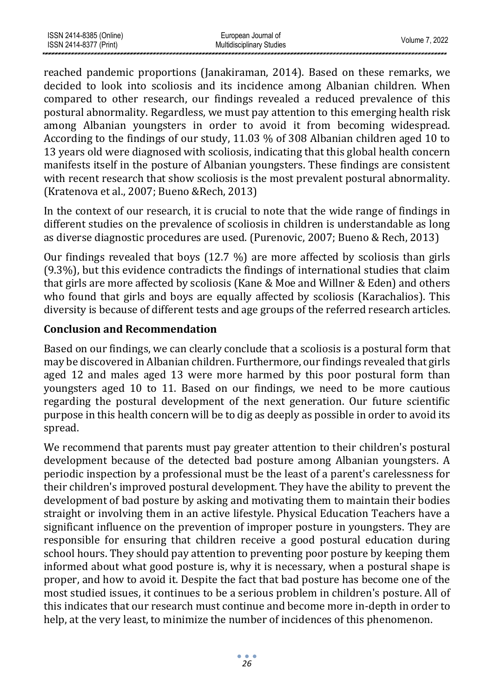| ISSN 2414-8385 (Online) | European Journal of              | Volume 7. 2022 |
|-------------------------|----------------------------------|----------------|
| ISSN 2414-8377 (Print)  | <b>Multidisciplinary Studies</b> |                |
|                         |                                  |                |

reached pandemic proportions (Janakiraman, 2014). Based on these remarks, we decided to look into scoliosis and its incidence among Albanian children. When compared to other research, our findings revealed a reduced prevalence of this postural abnormality. Regardless, we must pay attention to this emerging health risk among Albanian youngsters in order to avoid it from becoming widespread. According to the findings of our study, 11.03 % of 308 Albanian children aged 10 to 13 years old were diagnosed with scoliosis, indicating that this global health concern manifests itself in the posture of Albanian youngsters. These findings are consistent with recent research that show scoliosis is the most prevalent postural abnormality. (Kratenova et al., 2007; Bueno &Rech, 2013)

In the context of our research, it is crucial to note that the wide range of findings in different studies on the prevalence of scoliosis in children is understandable as long as diverse diagnostic procedures are used. (Purenovic, 2007; Bueno & Rech, 2013)

Our findings revealed that boys (12.7 %) are more affected by scoliosis than girls (9.3%), but this evidence contradicts the findings of international studies that claim that girls are more affected by scoliosis (Kane & Moe and Willner & Eden) and others who found that girls and boys are equally affected by scoliosis (Karachalios). This diversity is because of different tests and age groups of the referred research articles.

# **Conclusion and Recommendation**

Based on our findings, we can clearly conclude that a scoliosis is a postural form that may be discovered in Albanian children. Furthermore, our findings revealed that girls aged 12 and males aged 13 were more harmed by this poor postural form than youngsters aged 10 to 11. Based on our findings, we need to be more cautious regarding the postural development of the next generation. Our future scientific purpose in this health concern will be to dig as deeply as possible in order to avoid its spread.

We recommend that parents must pay greater attention to their children's postural development because of the detected bad posture among Albanian youngsters. A periodic inspection by a professional must be the least of a parent's carelessness for their children's improved postural development. They have the ability to prevent the development of bad posture by asking and motivating them to maintain their bodies straight or involving them in an active lifestyle. Physical Education Teachers have a significant influence on the prevention of improper posture in youngsters. They are responsible for ensuring that children receive a good postural education during school hours. They should pay attention to preventing poor posture by keeping them informed about what good posture is, why it is necessary, when a postural shape is proper, and how to avoid it. Despite the fact that bad posture has become one of the most studied issues, it continues to be a serious problem in children's posture. All of this indicates that our research must continue and become more in-depth in order to help, at the very least, to minimize the number of incidences of this phenomenon.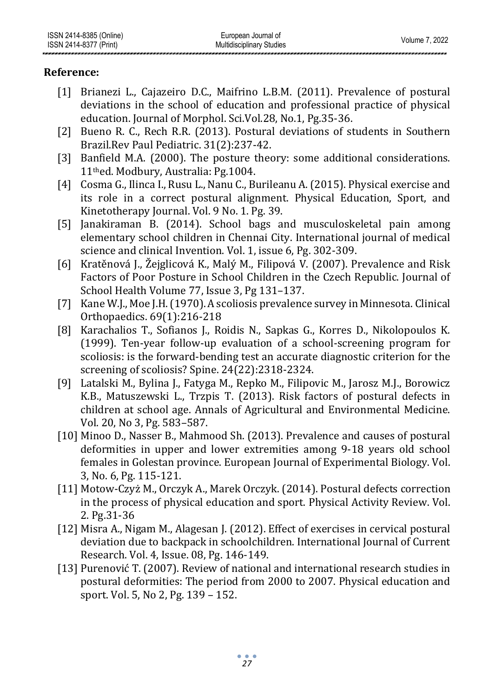# **Reference:**

- [1] Brianezi L., Cajazeiro D.C., Maifrino L.B.M. (2011). Prevalence of postural deviations in the school of education and professional practice of physical education. Journal of Morphol. Sci.Vol.28, No.1, Pg.35-36.
- [2] Bueno R. C., Rech R.R. (2013). Postural deviations of students in Southern Brazil.Rev Paul Pediatric. 31(2):237-42.
- [3] Banfield M.A. (2000). The posture theory: some additional considerations. 11thed. Modbury, Australia: Pg.1004.
- [4] Cosma G., Ilinca I., Rusu L., Nanu C., Burileanu A. (2015). Physical exercise and its role in a correct postural alignment. Physical Education, Sport, and Kinetotherapy Journal. Vol. 9 No. 1. Pg. 39.
- [5] Janakiraman B. (2014). School bags and musculoskeletal pain among elementary school children in Chennai City. International journal of medical science and clinical Invention. Vol. 1, issue 6, Pg. 302-309.
- [6] Kratěnová J., Žejglicová K., Malý M., Filipová V. (2007). Prevalence and Risk Factors of Poor Posture in School Children in the Czech Republic. Journal of School Healt[h Volume 77, Issue 3, P](http://onlinelibrary.wiley.com/doi/10.1111/josh.2007.77.issue-3/issuetoc)g 131–137.
- [7] Kane W.J., Moe J.H. (1970). A scoliosis prevalence survey in Minnesota. Clinical Orthopaedics. 69(1):216-218
- [8] Karachalios T., Sofianos J., Roidis N., Sapkas G., Korres D., Nikolopoulos K. (1999). Ten-year follow-up evaluation of a school-screening program for scoliosis: is the forward-bending test an accurate diagnostic criterion for the screening of scoliosis? Spine. 24(22):2318-2324.
- [9] Latalski M., Bylina J., Fatyga M., Repko M., Filipovic M., Jarosz M.J., Borowicz K.B., Matuszewski L., Trzpis T. (2013). Risk factors of postural defects in children at school age. Annals of Agricultural and Environmental Medicine. Vol. 20, No 3, Pg. 583–587.
- [10] Minoo D., Nasser B., Mahmood Sh. (2013). Prevalence and causes of postural deformities in upper and lower extremities among 9-18 years old school females in Golestan province. European Journal of Experimental Biology. Vol. 3, No. 6, Pg. 115-121.
- [11] Motow-Czyż M., Orczyk A., Marek Orczyk. (2014). Postural defects correction in the process of physical education and sport. Physical Activity Review. Vol. 2. Pg.31-36
- [12] Misra A., Nigam M., Alagesan J. (2012). Effect of exercises in cervical postural deviation due to backpack in schoolchildren. International Journal of Current Research. Vol. 4, Issue. 08, Pg. 146-149.
- [13] Purenović T. (2007). Review of national and international research studies in postural deformities: The period from 2000 to 2007. Physical education and sport. Vol. 5, No 2, Pg. 139 – 152.